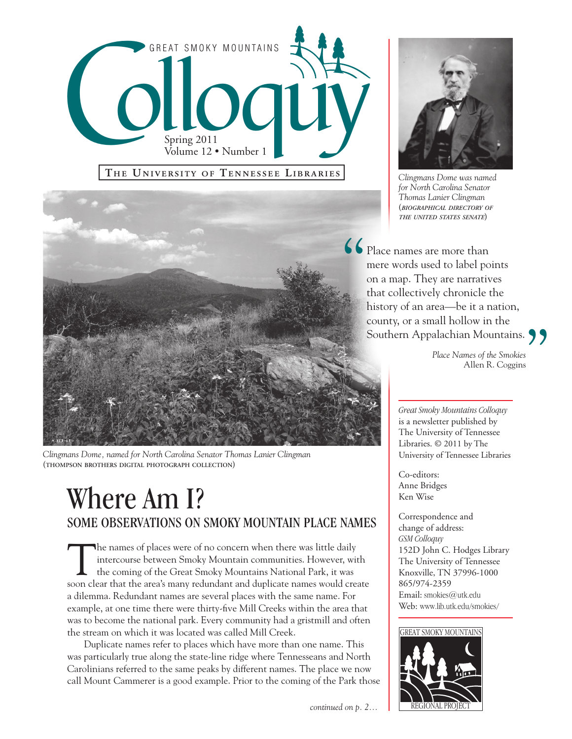



*Clingmans Dome, named for North Carolina Senator Thomas Lanier Clingman*  **(thompson brothers digital photograph collection)**

# Where Am I? SOME OBSERVATIONS ON SMOKY MOUNTAIN PLACE NAMES

The names of places were of no concern when there was little daily<br>intercourse between Smoky Mountain communities. However, with<br>the coming of the Great Smoky Mountains National Park, it was intercourse between Smoky Mountain communities. However, with the coming of the Great Smoky Mountains National Park, it was soon clear that the area's many redundant and duplicate names would create a dilemma. Redundant names are several places with the same name. For example, at one time there were thirty-five Mill Creeks within the area that was to become the national park. Every community had a gristmill and often the stream on which it was located was called Mill Creek.

Duplicate names refer to places which have more than one name. This was particularly true along the state-line ridge where Tennesseans and North Carolinians referred to the same peaks by different names. The place we now call Mount Cammerer is a good example. Prior to the coming of the Park those



*Clingmans Dome was named for North Carolina Senator Thomas Lanier Clingman* **(***biographical directory of the united states senate***)**

Place names are more than mere words used to label points on a map. They are narratives that collectively chronicle the history of an area—be it a nation, county, or a small hollow in the Southern Appalachian Mountains. "

*Place Names of the Smokies* Allen R. Coggins

*Great Smoky Mountains Colloquy*  is a newsletter published by The University of Tennessee Libraries. © 2011 by The University of Tennessee Libraries

Co-editors: Anne Bridges Ken Wise

Correspondence and change of address: *GSM Colloquy* 152D John C. Hodges Library The University of Tennessee Knoxville, TN 37996-1000 865/974-2359 Email: smokies@utk.edu Web: www.lib.utk.edu/smokies/

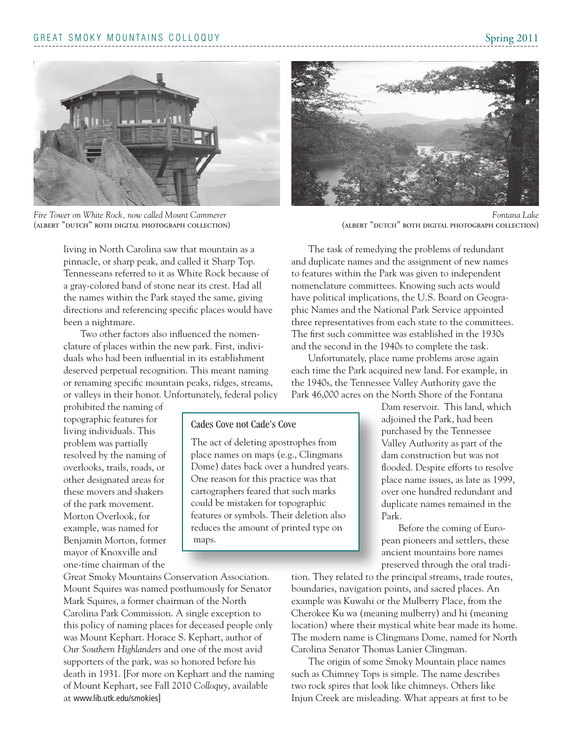

*Fire Tower on White Rock, now called Mount Cammerer* **(albert "dutch" roth digital photograph collection)**

living in North Carolina saw that mountain as a pinnacle, or sharp peak, and called it Sharp Top. Tennesseans referred to it as White Rock because of a gray-colored band of stone near its crest. Had all the names within the Park stayed the same, giving directions and referencing specific places would have been a nightmare.

Two other factors also influenced the nomenclature of places within the new park. First, individuals who had been influential in its establishment deserved perpetual recognition. This meant naming or renaming specific mountain peaks, ridges, streams, or valleys in their honor. Unfortunately, federal policy

prohibited the naming of topographic features for living individuals. This problem was partially resolved by the naming of overlooks, trails, roads, or other designated areas for these movers and shakers of the park movement. Morton Overlook, for example, was named for Benjamin Morton, former mayor of Knoxville and one-time chairman of the

### Cades Cove not Cade's Cove

The act of deleting apostrophes from place names on maps (e.g., Clingmans Dome) dates back over a hundred years. One reason for this practice was that cartographers feared that such marks could be mistaken for topographic features or symbols. Their deletion also reduces the amount of printed type on maps.



*Fontana Lake* **(albert "dutch" roth digital photograph collection)**

The task of remedying the problems of redundant and duplicate names and the assignment of new names to features within the Park was given to independent nomenclature committees. Knowing such acts would have political implications, the U.S. Board on Geographic Names and the National Park Service appointed three representatives from each state to the committees. The first such committee was established in the 1930s and the second in the 1940s to complete the task.

Unfortunately, place name problems arose again each time the Park acquired new land. For example, in the 1940s, the Tennessee Valley Authority gave the Park 46,000 acres on the North Shore of the Fontana

> Dam reservoir. This land, which adjoined the Park, had been purchased by the Tennessee Valley Authority as part of the dam construction but was not flooded. Despite efforts to resolve place name issues, as late as 1999, over one hundred redundant and duplicate names remained in the Park.

Before the coming of European pioneers and settlers, these ancient mountains bore names preserved through the oral tradi-

Great Smoky Mountains Conservation Association. Mount Squires was named posthumously for Senator Mark Squires, a former chairman of the North Carolina Park Commission. A single exception to this policy of naming places for deceased people only was Mount Kephart. Horace S. Kephart, author of *Our Southern Highlanders* and one of the most avid supporters of the park, was so honored before his death in 1931. [For more on Kephart and the naming of Mount Kephart, see Fall 2010 *Colloquy*, available at www.lib.utk.edu/smokies]

tion. They related to the principal streams, trade routes, boundaries, navigation points, and sacred places. An example was Kuwahi or the Mulberry Place, from the Cherokee Ku wa (meaning mulberry) and hi (meaning location) where their mystical white bear made its home. The modern name is Clingmans Dome, named for North Carolina Senator Thomas Lanier Clingman.

The origin of some Smoky Mountain place names such as Chimney Tops is simple. The name describes two rock spires that look like chimneys. Others like Injun Creek are misleading. What appears at first to be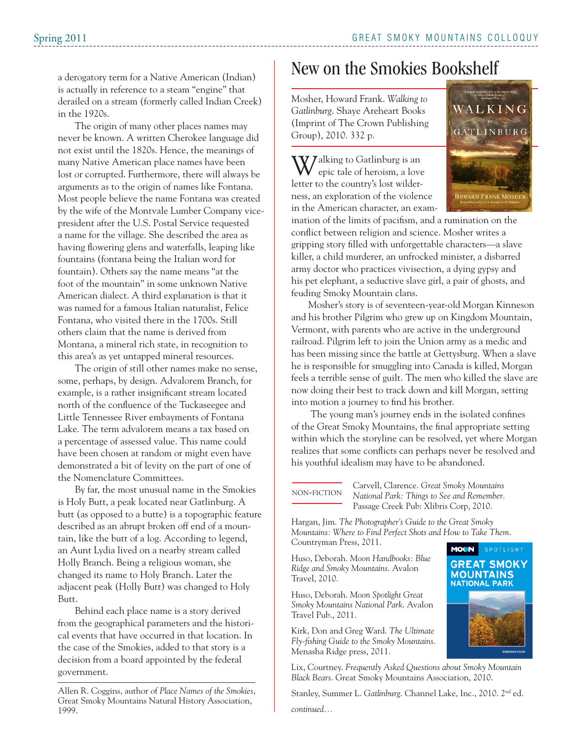a derogatory term for a Native American (Indian) is actually in reference to a steam "engine" that derailed on a stream (formerly called Indian Creek) in the 1920s.

The origin of many other places names may never be known. A written Cherokee language did not exist until the 1820s. Hence, the meanings of many Native American place names have been lost or corrupted. Furthermore, there will always be arguments as to the origin of names like Fontana. Most people believe the name Fontana was created by the wife of the Montvale Lumber Company vicepresident after the U.S. Postal Service requested a name for the village. She described the area as having flowering glens and waterfalls, leaping like fountains (fontana being the Italian word for fountain). Others say the name means "at the foot of the mountain" in some unknown Native American dialect. A third explanation is that it was named for a famous Italian naturalist, Felice Fontana, who visited there in the 1700s. Still others claim that the name is derived from Montana, a mineral rich state, in recognition to this area's as yet untapped mineral resources.

The origin of still other names make no sense, some, perhaps, by design. Advalorem Branch, for example, is a rather insignificant stream located north of the confluence of the Tuckaseegee and Little Tennessee River embayments of Fontana Lake. The term advalorem means a tax based on a percentage of assessed value. This name could have been chosen at random or might even have demonstrated a bit of levity on the part of one of the Nomenclature Committees.

By far, the most unusual name in the Smokies is Holy Butt, a peak located near Gatlinburg. A butt (as opposed to a butte) is a topographic feature described as an abrupt broken off end of a mountain, like the butt of a log. According to legend, an Aunt Lydia lived on a nearby stream called Holly Branch. Being a religious woman, she changed its name to Holy Branch. Later the adjacent peak (Holly Butt) was changed to Holy Butt.

Behind each place name is a story derived from the geographical parameters and the historical events that have occurred in that location. In the case of the Smokies, added to that story is a decision from a board appointed by the federal government.

Allen R. Coggins, author of *Place Names of the Smokies*, Great Smoky Mountains Natural History Association, 1999.

## New on the Smokies Bookshelf

Mosher, Howard Frank. *Walking to Gatlinburg*. Shaye Areheart Books (Imprint of The Crown Publishing Group), 2010. 332 p.

Walking to Gatlinburg is an epic tale of heroism, a love letter to the country's lost wilderness, an exploration of the violence in the American character, an exam-



ination of the limits of pacifism, and a rumination on the conflict between religion and science. Mosher writes a gripping story filled with unforgettable characters—a slave killer, a child murderer, an unfrocked minister, a disbarred army doctor who practices vivisection, a dying gypsy and his pet elephant, a seductive slave girl, a pair of ghosts, and feuding Smoky Mountain clans.

Mosher's story is of seventeen-year-old Morgan Kinneson and his brother Pilgrim who grew up on Kingdom Mountain, Vermont, with parents who are active in the underground railroad. Pilgrim left to join the Union army as a medic and has been missing since the battle at Gettysburg. When a slave he is responsible for smuggling into Canada is killed, Morgan feels a terrible sense of guilt. The men who killed the slave are now doing their best to track down and kill Morgan, setting into motion a journey to find his brother.

 The young man's journey ends in the isolated confines of the Great Smoky Mountains, the final appropriate setting within which the storyline can be resolved, yet where Morgan realizes that some conflicts can perhaps never be resolved and his youthful idealism may have to be abandoned.

non-fiction

Carvell, Clarence. *Great Smoky Mountains National Park: Things to See and Remember*. Passage Creek Pub: Xlibris Corp, 2010.

Hargan, Jim. *The Photographer's Guide to the Great Smoky Mountains: Where to Find Perfect Shots and How to Take Them*. Countryman Press, 2011.

Huso, Deborah. *Moon Handbooks: Blue Ridge and Smoky Mountains*. Avalon Travel, 2010.

Huso, Deborah. *Moon Spotlight Great Smoky Mountains National Park*. Avalon Travel Pub., 2011.

Kirk, Don and Greg Ward. *The Ultimate Fly-fishing Guide to the Smoky Mountains*. Menasha Ridge press, 2011.

Lix, Courtney. *Frequently Asked Questions about Smoky Mountain Black Bears*. Great Smoky Mountains Association, 2010.

Stanley, Summer L. *Gatlinburg*. Channel Lake, Inc., 2010. 2nd ed.

*continued…*